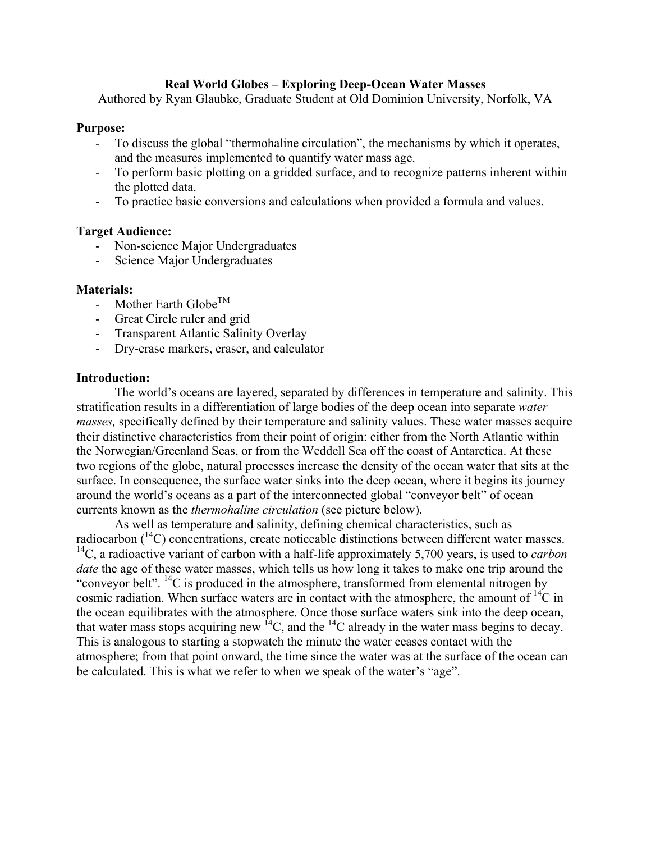#### **Real World Globes – Exploring Deep-Ocean Water Masses**

Authored by Ryan Glaubke, Graduate Student at Old Dominion University, Norfolk, VA

#### **Purpose:**

- To discuss the global "thermohaline circulation", the mechanisms by which it operates, and the measures implemented to quantify water mass age.
- To perform basic plotting on a gridded surface, and to recognize patterns inherent within the plotted data.
- To practice basic conversions and calculations when provided a formula and values.

#### **Target Audience:**

- Non-science Major Undergraduates
- Science Major Undergraduates

#### **Materials:**

- Mother Earth Globe<sup>TM</sup>
- Great Circle ruler and grid
- Transparent Atlantic Salinity Overlay
- Dry-erase markers, eraser, and calculator

#### **Introduction:**

The world's oceans are layered, separated by differences in temperature and salinity. This stratification results in a differentiation of large bodies of the deep ocean into separate *water masses,* specifically defined by their temperature and salinity values. These water masses acquire their distinctive characteristics from their point of origin: either from the North Atlantic within the Norwegian/Greenland Seas, or from the Weddell Sea off the coast of Antarctica. At these two regions of the globe, natural processes increase the density of the ocean water that sits at the surface. In consequence, the surface water sinks into the deep ocean, where it begins its journey around the world's oceans as a part of the interconnected global "conveyor belt" of ocean currents known as the *thermohaline circulation* (see picture below).

As well as temperature and salinity, defining chemical characteristics, such as radiocarbon  $(14)$  concentrations, create noticeable distinctions between different water masses. 14C, a radioactive variant of carbon with a half-life approximately 5,700 years, is used to *carbon date* the age of these water masses, which tells us how long it takes to make one trip around the "conveyor belt".  $^{14}C$  is produced in the atmosphere, transformed from elemental nitrogen by cosmic radiation. When surface waters are in contact with the atmosphere, the amount of  $^{14}C$  in the ocean equilibrates with the atmosphere. Once those surface waters sink into the deep ocean, that water mass stops acquiring new  ${}^{14}C$ , and the  ${}^{14}C$  already in the water mass begins to decay. This is analogous to starting a stopwatch the minute the water ceases contact with the atmosphere; from that point onward, the time since the water was at the surface of the ocean can be calculated. This is what we refer to when we speak of the water's "age".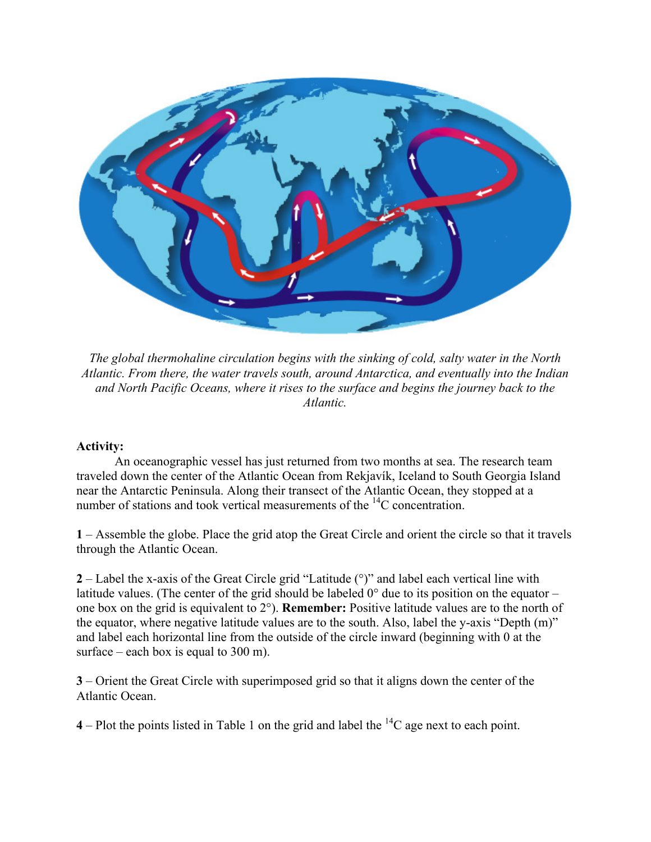

*The global thermohaline circulation begins with the sinking of cold, salty water in the North Atlantic. From there, the water travels south, around Antarctica, and eventually into the Indian and North Pacific Oceans, where it rises to the surface and begins the journey back to the Atlantic.*

### **Activity:**

An oceanographic vessel has just returned from two months at sea. The research team traveled down the center of the Atlantic Ocean from Rekjavík, Iceland to South Georgia Island near the Antarctic Peninsula. Along their transect of the Atlantic Ocean, they stopped at a number of stations and took vertical measurements of the <sup>14</sup>C concentration.

**1** – Assemble the globe. Place the grid atop the Great Circle and orient the circle so that it travels through the Atlantic Ocean.

**2** – Label the x-axis of the Great Circle grid "Latitude (°)" and label each vertical line with latitude values. (The center of the grid should be labeled 0° due to its position on the equator – one box on the grid is equivalent to 2°). **Remember:** Positive latitude values are to the north of the equator, where negative latitude values are to the south. Also, label the y-axis "Depth (m)" and label each horizontal line from the outside of the circle inward (beginning with 0 at the surface – each box is equal to  $300$  m).

**3** – Orient the Great Circle with superimposed grid so that it aligns down the center of the Atlantic Ocean.

**4** – Plot the points listed in Table 1 on the grid and label the  ${}^{14}C$  age next to each point.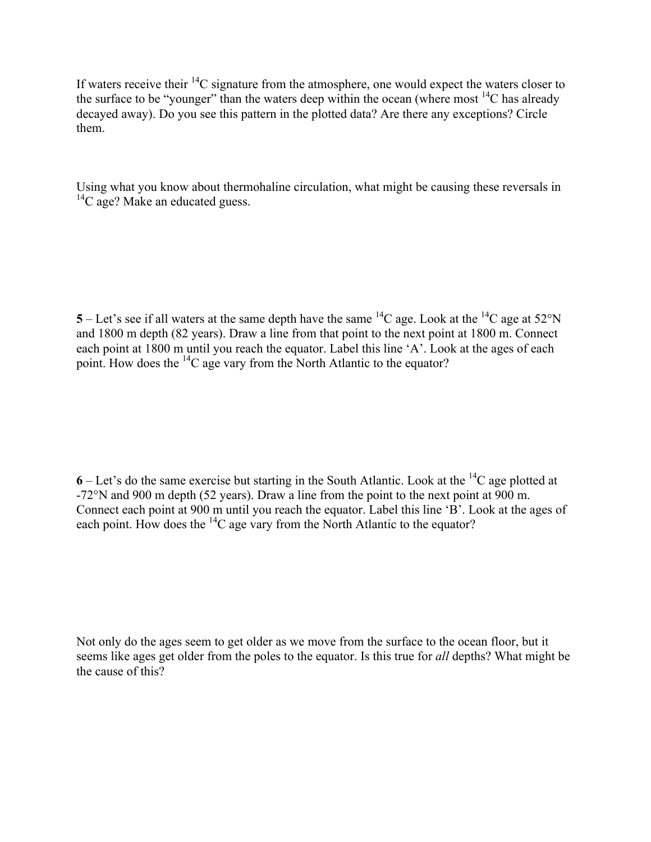If waters receive their  ${}^{14}C$  signature from the atmosphere, one would expect the waters closer to the surface to be "younger" than the waters deep within the ocean (where most  $^{14}C$  has already decayed away). Do you see this pattern in the plotted data? Are there any exceptions? Circle them.

Using what you know about thermohaline circulation, what might be causing these reversals in  ${}^{14}C$  age? Make an educated guess.

**5** – Let's see if all waters at the same depth have the same <sup>14</sup>C age. Look at the <sup>14</sup>C age at 52°N and 1800 m depth (82 years). Draw a line from that point to the next point at 1800 m. Connect each point at 1800 m until you reach the equator. Label this line 'A'. Look at the ages of each point. How does the 14C age vary from the North Atlantic to the equator?

**6** – Let's do the same exercise but starting in the South Atlantic. Look at the 14C age plotted at -72°N and 900 m depth (52 years). Draw a line from the point to the next point at 900 m. Connect each point at 900 m until you reach the equator. Label this line 'B'. Look at the ages of each point. How does the  ${}^{14}C$  age vary from the North Atlantic to the equator?

Not only do the ages seem to get older as we move from the surface to the ocean floor, but it seems like ages get older from the poles to the equator. Is this true for *all* depths? What might be the cause of this?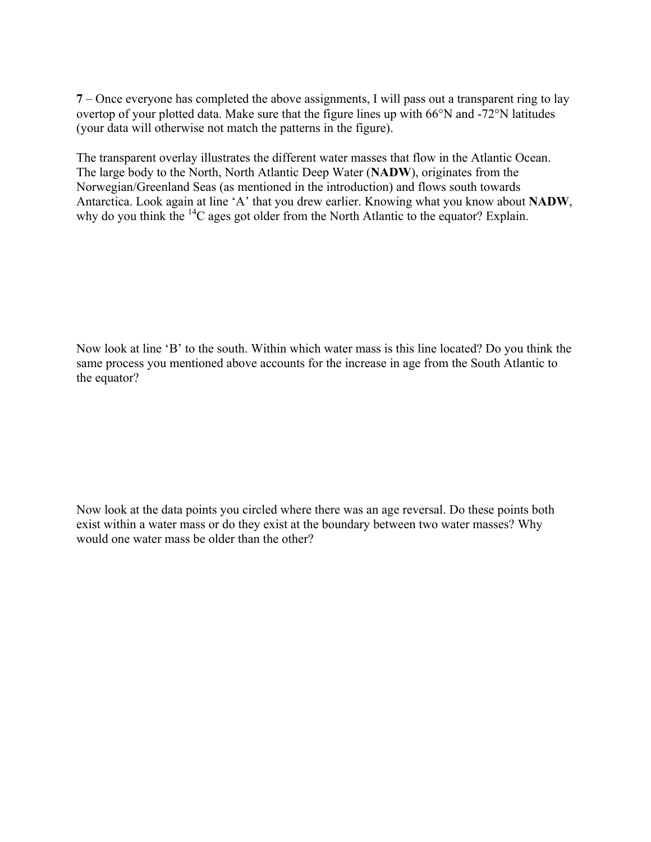**7** – Once everyone has completed the above assignments, I will pass out a transparent ring to lay overtop of your plotted data. Make sure that the figure lines up with 66°N and -72°N latitudes (your data will otherwise not match the patterns in the figure).

The transparent overlay illustrates the different water masses that flow in the Atlantic Ocean. The large body to the North, North Atlantic Deep Water (**NADW**), originates from the Norwegian/Greenland Seas (as mentioned in the introduction) and flows south towards Antarctica. Look again at line 'A' that you drew earlier. Knowing what you know about **NADW**, why do you think the <sup>14</sup>C ages got older from the North Atlantic to the equator? Explain.

Now look at line 'B' to the south. Within which water mass is this line located? Do you think the same process you mentioned above accounts for the increase in age from the South Atlantic to the equator?

Now look at the data points you circled where there was an age reversal. Do these points both exist within a water mass or do they exist at the boundary between two water masses? Why would one water mass be older than the other?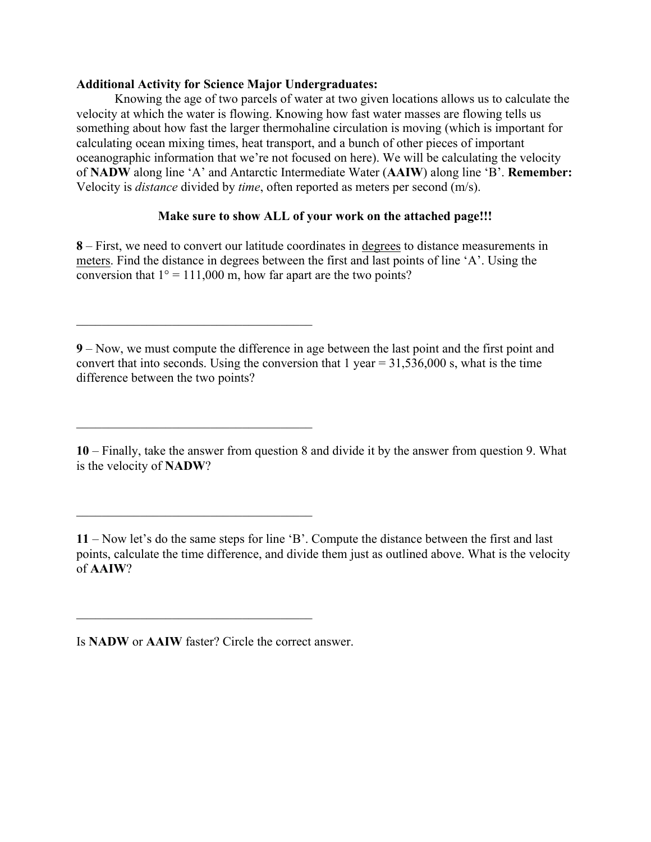#### **Additional Activity for Science Major Undergraduates:**

 $\mathcal{L}_\text{max}$  , and the set of the set of the set of the set of the set of the set of the set of the set of the set of the set of the set of the set of the set of the set of the set of the set of the set of the set of the

 $\mathcal{L}_\text{max}$  , and the set of the set of the set of the set of the set of the set of the set of the set of the set of the set of the set of the set of the set of the set of the set of the set of the set of the set of the

 $\mathcal{L}_\text{max}$  , and the set of the set of the set of the set of the set of the set of the set of the set of the set of the set of the set of the set of the set of the set of the set of the set of the set of the set of the

 $\mathcal{L}_\text{max}$  , and the set of the set of the set of the set of the set of the set of the set of the set of the set of the set of the set of the set of the set of the set of the set of the set of the set of the set of the

Knowing the age of two parcels of water at two given locations allows us to calculate the velocity at which the water is flowing. Knowing how fast water masses are flowing tells us something about how fast the larger thermohaline circulation is moving (which is important for calculating ocean mixing times, heat transport, and a bunch of other pieces of important oceanographic information that we're not focused on here). We will be calculating the velocity of **NADW** along line 'A' and Antarctic Intermediate Water (**AAIW**) along line 'B'. **Remember:**  Velocity is *distance* divided by *time*, often reported as meters per second (m/s).

## **Make sure to show ALL of your work on the attached page!!!**

**8** – First, we need to convert our latitude coordinates in degrees to distance measurements in meters. Find the distance in degrees between the first and last points of line 'A'. Using the conversion that  $1^\circ = 111,000$  m, how far apart are the two points?

**9** – Now, we must compute the difference in age between the last point and the first point and convert that into seconds. Using the conversion that  $1$  year  $= 31,536,000$  s, what is the time difference between the two points?

**10** – Finally, take the answer from question 8 and divide it by the answer from question 9. What is the velocity of **NADW**?

**11** – Now let's do the same steps for line 'B'. Compute the distance between the first and last points, calculate the time difference, and divide them just as outlined above. What is the velocity of **AAIW**?

Is **NADW** or **AAIW** faster? Circle the correct answer.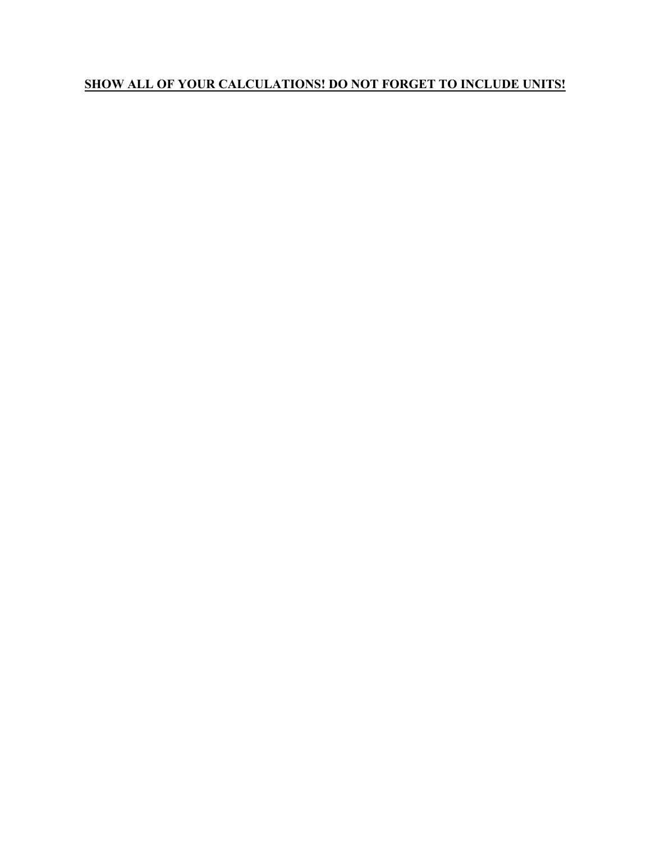# **SHOW ALL OF YOUR CALCULATIONS! DO NOT FORGET TO INCLUDE UNITS!**